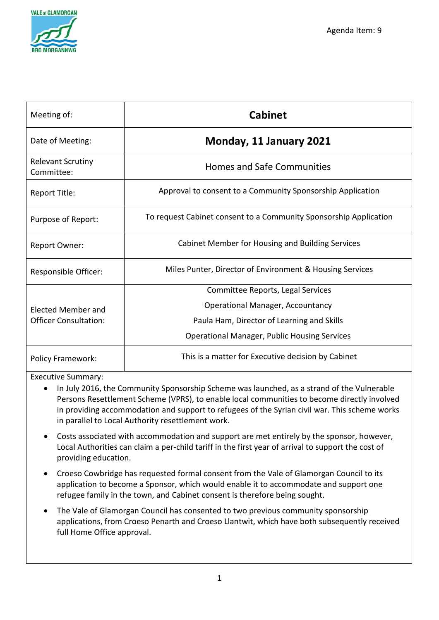

| Meeting of:                            | <b>Cabinet</b>                                                    |  |
|----------------------------------------|-------------------------------------------------------------------|--|
| Date of Meeting:                       | Monday, 11 January 2021                                           |  |
| <b>Relevant Scrutiny</b><br>Committee: | <b>Homes and Safe Communities</b>                                 |  |
| Report Title:                          | Approval to consent to a Community Sponsorship Application        |  |
| Purpose of Report:                     | To request Cabinet consent to a Community Sponsorship Application |  |
| Report Owner:                          | Cabinet Member for Housing and Building Services                  |  |
| Responsible Officer:                   | Miles Punter, Director of Environment & Housing Services          |  |
|                                        | Committee Reports, Legal Services                                 |  |
| <b>Elected Member and</b>              | <b>Operational Manager, Accountancy</b>                           |  |
| <b>Officer Consultation:</b>           | Paula Ham, Director of Learning and Skills                        |  |
|                                        | <b>Operational Manager, Public Housing Services</b>               |  |
| <b>Policy Framework:</b>               | This is a matter for Executive decision by Cabinet                |  |

Executive Summary:

- In July 2016, the Community Sponsorship Scheme was launched, as a strand of the Vulnerable Persons Resettlement Scheme (VPRS), to enable local communities to become directly involved in providing accommodation and support to refugees of the Syrian civil war. This scheme works in parallel to Local Authority resettlement work.
- Costs associated with accommodation and support are met entirely by the sponsor, however, Local Authorities can claim a per-child tariff in the first year of arrival to support the cost of providing education.
- Croeso Cowbridge has requested formal consent from the Vale of Glamorgan Council to its application to become a Sponsor, which would enable it to accommodate and support one refugee family in the town, and Cabinet consent is therefore being sought.
- The Vale of Glamorgan Council has consented to two previous community sponsorship applications, from Croeso Penarth and Croeso Llantwit, which have both subsequently received full Home Office approval.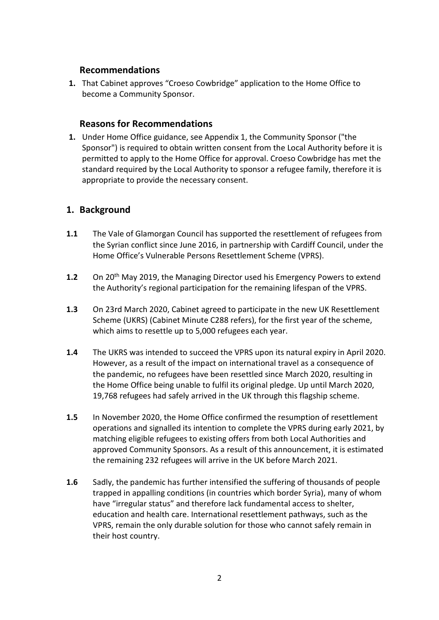#### **Recommendations**

**1.** That Cabinet approves "Croeso Cowbridge" application to the Home Office to become a Community Sponsor.

#### **Reasons for Recommendations**

**1.** Under Home Office guidance, see Appendix 1, the Community Sponsor ("the Sponsor") is required to obtain written consent from the Local Authority before it is permitted to apply to the Home Office for approval. Croeso Cowbridge has met the standard required by the Local Authority to sponsor a refugee family, therefore it is appropriate to provide the necessary consent.

#### **1. Background**

- **1.1** The Vale of Glamorgan Council has supported the resettlement of refugees from the Syrian conflict since June 2016, in partnership with Cardiff Council, under the Home Office's Vulnerable Persons Resettlement Scheme (VPRS).
- **1.2** On 20th May 2019, the Managing Director used his Emergency Powers to extend the Authority's regional participation for the remaining lifespan of the VPRS.
- **1.3** On 23rd March 2020, Cabinet agreed to participate in the new UK Resettlement Scheme (UKRS) (Cabinet Minute C288 refers), for the first year of the scheme, which aims to resettle up to 5,000 refugees each year.
- **1.4** The UKRS was intended to succeed the VPRS upon its natural expiry in April 2020. However, as a result of the impact on international travel as a consequence of the pandemic, no refugees have been resettled since March 2020, resulting in the Home Office being unable to fulfil its original pledge. Up until March 2020, 19,768 refugees had safely arrived in the UK through this flagship scheme.
- **1.5** In November 2020, the Home Office confirmed the resumption of resettlement operations and signalled its intention to complete the VPRS during early 2021, by matching eligible refugees to existing offers from both Local Authorities and approved Community Sponsors. As a result of this announcement, it is estimated the remaining 232 refugees will arrive in the UK before March 2021.
- **1.6** Sadly, the pandemic has further intensified the suffering of thousands of people trapped in appalling conditions (in countries which border Syria), many of whom have "irregular status" and therefore lack fundamental access to shelter, education and health care. International resettlement pathways, such as the VPRS, remain the only durable solution for those who cannot safely remain in their host country.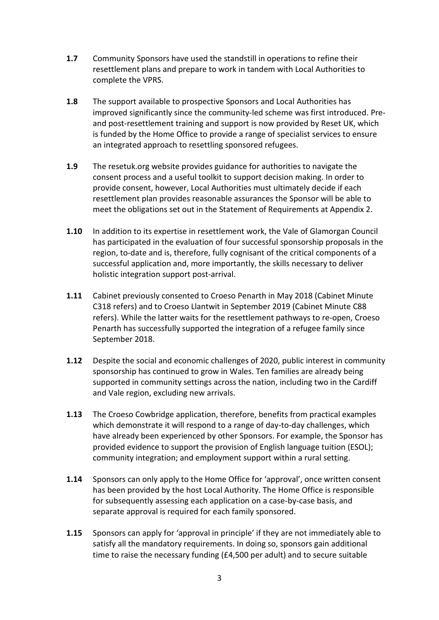- **1.7** Community Sponsors have used the standstill in operations to refine their resettlement plans and prepare to work in tandem with Local Authorities to complete the VPRS.
- **1.8** The support available to prospective Sponsors and Local Authorities has improved significantly since the community-led scheme was first introduced. Preand post-resettlement training and support is now provided by Reset UK, which is funded by the Home Office to provide a range of specialist services to ensure an integrated approach to resettling sponsored refugees.
- **1.9** The resetuk.org website provides guidance for authorities to navigate the consent process and a useful toolkit to support decision making. In order to provide consent, however, Local Authorities must ultimately decide if each resettlement plan provides reasonable assurances the Sponsor will be able to meet the obligations set out in the Statement of Requirements at Appendix 2.
- **1.10** In addition to its expertise in resettlement work, the Vale of Glamorgan Council has participated in the evaluation of four successful sponsorship proposals in the region, to-date and is, therefore, fully cognisant of the critical components of a successful application and, more importantly, the skills necessary to deliver holistic integration support post-arrival.
- **1.11** Cabinet previously consented to Croeso Penarth in May 2018 (Cabinet Minute C318 refers) and to Croeso Llantwit in September 2019 (Cabinet Minute C88 refers). While the latter waits for the resettlement pathways to re-open, Croeso Penarth has successfully supported the integration of a refugee family since September 2018.
- **1.12** Despite the social and economic challenges of 2020, public interest in community sponsorship has continued to grow in Wales. Ten families are already being supported in community settings across the nation, including two in the Cardiff and Vale region, excluding new arrivals.
- **1.13** The Croeso Cowbridge application, therefore, benefits from practical examples which demonstrate it will respond to a range of day-to-day challenges, which have already been experienced by other Sponsors. For example, the Sponsor has provided evidence to support the provision of English language tuition (ESOL); community integration; and employment support within a rural setting.
- **1.14** Sponsors can only apply to the Home Office for 'approval', once written consent has been provided by the host Local Authority. The Home Office is responsible for subsequently assessing each application on a case-by-case basis, and separate approval is required for each family sponsored.
- **1.15** Sponsors can apply for 'approval in principle' if they are not immediately able to satisfy all the mandatory requirements. In doing so, sponsors gain additional time to raise the necessary funding (£4,500 per adult) and to secure suitable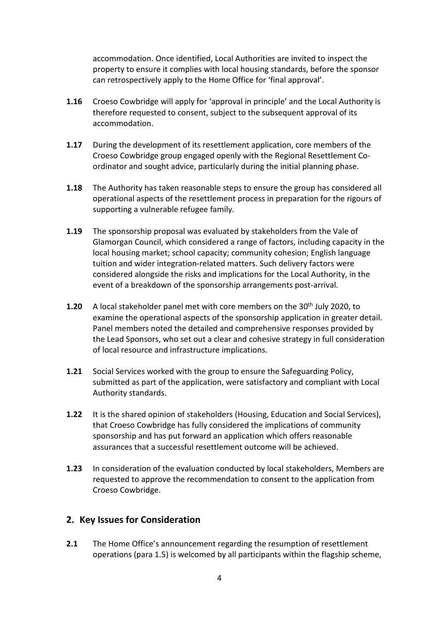accommodation. Once identified, Local Authorities are invited to inspect the property to ensure it complies with local housing standards, before the sponsor can retrospectively apply to the Home Office for 'final approval'.

- **1.16** Croeso Cowbridge will apply for 'approval in principle' and the Local Authority is therefore requested to consent, subject to the subsequent approval of its accommodation.
- **1.17** During the development of its resettlement application, core members of the Croeso Cowbridge group engaged openly with the Regional Resettlement Coordinator and sought advice, particularly during the initial planning phase.
- **1.18** The Authority has taken reasonable steps to ensure the group has considered all operational aspects of the resettlement process in preparation for the rigours of supporting a vulnerable refugee family.
- **1.19** The sponsorship proposal was evaluated by stakeholders from the Vale of Glamorgan Council, which considered a range of factors, including capacity in the local housing market; school capacity; community cohesion; English language tuition and wider integration-related matters. Such delivery factors were considered alongside the risks and implications for the Local Authority, in the event of a breakdown of the sponsorship arrangements post-arrival.
- **1.20** A local stakeholder panel met with core members on the 30<sup>th</sup> July 2020, to examine the operational aspects of the sponsorship application in greater detail. Panel members noted the detailed and comprehensive responses provided by the Lead Sponsors, who set out a clear and cohesive strategy in full consideration of local resource and infrastructure implications.
- **1.21** Social Services worked with the group to ensure the Safeguarding Policy, submitted as part of the application, were satisfactory and compliant with Local Authority standards.
- **1.22** It is the shared opinion of stakeholders (Housing, Education and Social Services), that Croeso Cowbridge has fully considered the implications of community sponsorship and has put forward an application which offers reasonable assurances that a successful resettlement outcome will be achieved.
- **1.23** In consideration of the evaluation conducted by local stakeholders, Members are requested to approve the recommendation to consent to the application from Croeso Cowbridge.

#### **2. Key Issues for Consideration**

**2.1** The Home Office's announcement regarding the resumption of resettlement operations (para 1.5) is welcomed by all participants within the flagship scheme,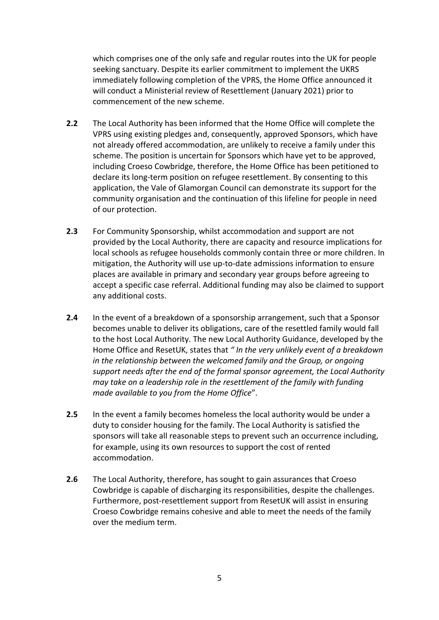which comprises one of the only safe and regular routes into the UK for people seeking sanctuary. Despite its earlier commitment to implement the UKRS immediately following completion of the VPRS, the Home Office announced it will conduct a Ministerial review of Resettlement (January 2021) prior to commencement of the new scheme.

- **2.2** The Local Authority has been informed that the Home Office will complete the VPRS using existing pledges and, consequently, approved Sponsors, which have not already offered accommodation, are unlikely to receive a family under this scheme. The position is uncertain for Sponsors which have yet to be approved, including Croeso Cowbridge, therefore, the Home Office has been petitioned to declare its long-term position on refugee resettlement. By consenting to this application, the Vale of Glamorgan Council can demonstrate its support for the community organisation and the continuation of this lifeline for people in need of our protection.
- **2.3** For Community Sponsorship, whilst accommodation and support are not provided by the Local Authority, there are capacity and resource implications for local schools as refugee households commonly contain three or more children. In mitigation, the Authority will use up-to-date admissions information to ensure places are available in primary and secondary year groups before agreeing to accept a specific case referral. Additional funding may also be claimed to support any additional costs.
- **2.4** In the event of a breakdown of a sponsorship arrangement, such that a Sponsor becomes unable to deliver its obligations, care of the resettled family would fall to the host Local Authority. The new Local Authority Guidance, developed by the Home Office and ResetUK, states that *" In the very unlikely event of a breakdown in the relationship between the welcomed family and the Group, or ongoing support needs after the end of the formal sponsor agreement, the Local Authority may take on a leadership role in the resettlement of the family with funding made available to you from the Home Office*".
- **2.5** In the event a family becomes homeless the local authority would be under a duty to consider housing for the family. The Local Authority is satisfied the sponsors will take all reasonable steps to prevent such an occurrence including, for example, using its own resources to support the cost of rented accommodation.
- **2.6** The Local Authority, therefore, has sought to gain assurances that Croeso Cowbridge is capable of discharging its responsibilities, despite the challenges. Furthermore, post-resettlement support from ResetUK will assist in ensuring Croeso Cowbridge remains cohesive and able to meet the needs of the family over the medium term.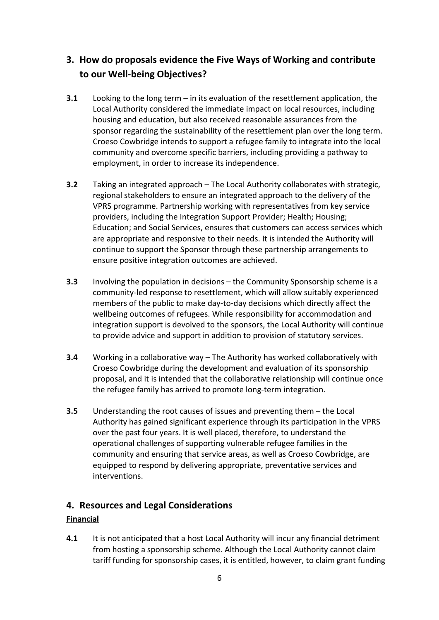## **3. How do proposals evidence the Five Ways of Working and contribute to our Well-being Objectives?**

- **3.1** Looking to the long term in its evaluation of the resettlement application, the Local Authority considered the immediate impact on local resources, including housing and education, but also received reasonable assurances from the sponsor regarding the sustainability of the resettlement plan over the long term. Croeso Cowbridge intends to support a refugee family to integrate into the local community and overcome specific barriers, including providing a pathway to employment, in order to increase its independence.
- **3.2** Taking an integrated approach The Local Authority collaborates with strategic, regional stakeholders to ensure an integrated approach to the delivery of the VPRS programme. Partnership working with representatives from key service providers, including the Integration Support Provider; Health; Housing; Education; and Social Services, ensures that customers can access services which are appropriate and responsive to their needs. It is intended the Authority will continue to support the Sponsor through these partnership arrangements to ensure positive integration outcomes are achieved.
- **3.3** Involving the population in decisions the Community Sponsorship scheme is a community-led response to resettlement, which will allow suitably experienced members of the public to make day-to-day decisions which directly affect the wellbeing outcomes of refugees. While responsibility for accommodation and integration support is devolved to the sponsors, the Local Authority will continue to provide advice and support in addition to provision of statutory services.
- **3.4** Working in a collaborative way The Authority has worked collaboratively with Croeso Cowbridge during the development and evaluation of its sponsorship proposal, and it is intended that the collaborative relationship will continue once the refugee family has arrived to promote long-term integration.
- **3.5** Understanding the root causes of issues and preventing them the Local Authority has gained significant experience through its participation in the VPRS over the past four years. It is well placed, therefore, to understand the operational challenges of supporting vulnerable refugee families in the community and ensuring that service areas, as well as Croeso Cowbridge, are equipped to respond by delivering appropriate, preventative services and interventions.

#### **4. Resources and Legal Considerations**

#### **Financial**

**4.1** It is not anticipated that a host Local Authority will incur any financial detriment from hosting a sponsorship scheme. Although the Local Authority cannot claim tariff funding for sponsorship cases, it is entitled, however, to claim grant funding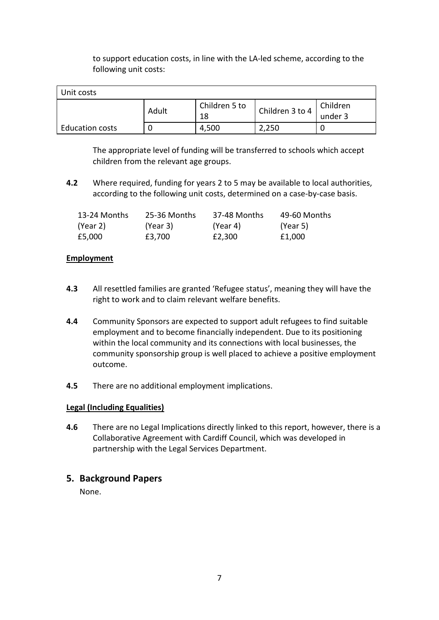to support education costs, in line with the LA-led scheme, according to the following unit costs:

| Unit costs             |       |               |                 |          |
|------------------------|-------|---------------|-----------------|----------|
|                        | Adult | Children 5 to | Children 3 to 4 | Children |
|                        |       | 18            |                 | under 3  |
| <b>Education costs</b> |       | 4.500         | ,250            |          |

The appropriate level of funding will be transferred to schools which accept children from the relevant age groups.

**4.2** Where required, funding for years 2 to 5 may be available to local authorities, according to the following unit costs, determined on a case-by-case basis.

| 13-24 Months | 25-36 Months | 37-48 Months | 49-60 Months |
|--------------|--------------|--------------|--------------|
| (Year 2)     | (Year 3)     | (Year 4)     | (Year 5)     |
| £5,000       | £3.700       | £2.300       | £1,000       |

#### **Employment**

- **4.3** All resettled families are granted 'Refugee status', meaning they will have the right to work and to claim relevant welfare benefits.
- **4.4** Community Sponsors are expected to support adult refugees to find suitable employment and to become financially independent. Due to its positioning within the local community and its connections with local businesses, the community sponsorship group is well placed to achieve a positive employment outcome.
- **4.5** There are no additional employment implications.

#### **Legal (Including Equalities)**

**4.6** There are no Legal Implications directly linked to this report, however, there is a Collaborative Agreement with Cardiff Council, which was developed in partnership with the Legal Services Department.

#### **5. Background Papers**

None.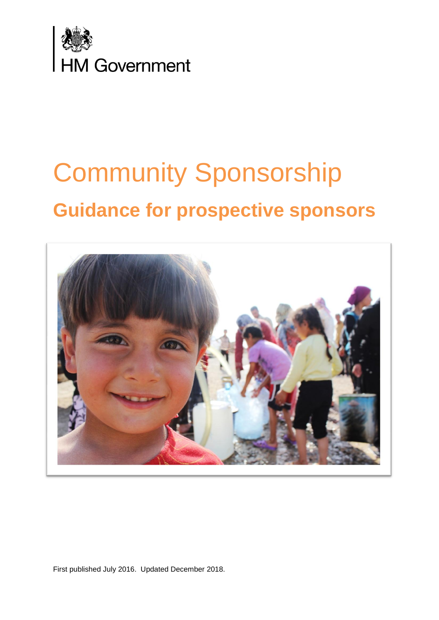

# Community Sponsorship **Guidance for prospective sponsors**



First published July 2016. Updated December 2018.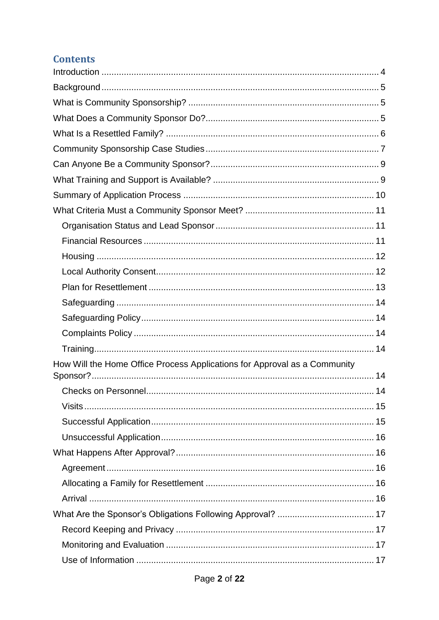# **Contents**

| How Will the Home Office Process Applications for Approval as a Community |
|---------------------------------------------------------------------------|
|                                                                           |
|                                                                           |
|                                                                           |
|                                                                           |
|                                                                           |
|                                                                           |
|                                                                           |
|                                                                           |
|                                                                           |
|                                                                           |
|                                                                           |
|                                                                           |
|                                                                           |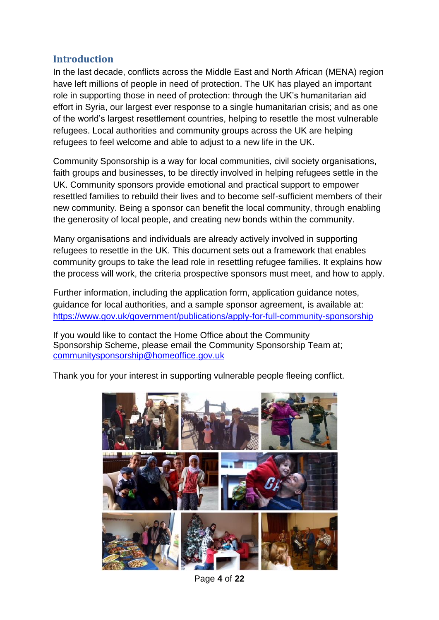## <span id="page-10-0"></span>**Introduction**

In the last decade, conflicts across the Middle East and North African (MENA) region have left millions of people in need of protection. The UK has played an important role in supporting those in need of protection: through the UK's humanitarian aid effort in Syria, our largest ever response to a single humanitarian crisis; and as one of the world's largest resettlement countries, helping to resettle the most vulnerable refugees. Local authorities and community groups across the UK are helping refugees to feel welcome and able to adjust to a new life in the UK.

Community Sponsorship is a way for local communities, civil society organisations, faith groups and businesses, to be directly involved in helping refugees settle in the UK. Community sponsors provide emotional and practical support to empower resettled families to rebuild their lives and to become self-sufficient members of their new community. Being a sponsor can benefit the local community, through enabling the generosity of local people, and creating new bonds within the community.

Many organisations and individuals are already actively involved in supporting refugees to resettle in the UK. This document sets out a framework that enables community groups to take the lead role in resettling refugee families. It explains how the process will work, the criteria prospective sponsors must meet, and how to apply.

Further information, including the application form, application guidance notes, guidance for local authorities, and a sample sponsor agreement, is available at: <https://www.gov.uk/government/publications/apply-for-full-community-sponsorship>

If you would like to contact the Home Office about the Community Sponsorship Scheme, please [email the Community Sponsorship Team at;](mailto:email%20the%20Community%20Sponsorship%20Team%20at;%20communitysponsorship@homeoffice.gov.uk)  [communitysponsorship@homeoffice.gov.uk](mailto:email%20the%20Community%20Sponsorship%20Team%20at;%20communitysponsorship@homeoffice.gov.uk)

Thank you for your interest in supporting vulnerable people fleeing conflict.



Page **4** of **22**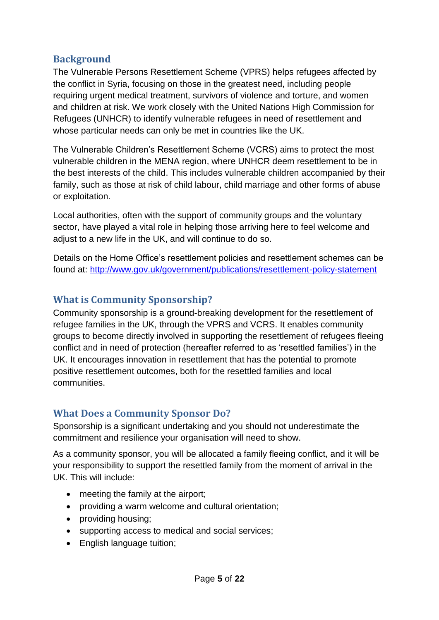## <span id="page-11-0"></span>**Background**

The Vulnerable Persons Resettlement Scheme (VPRS) helps refugees affected by the conflict in Syria, focusing on those in the greatest need, including people requiring urgent medical treatment, survivors of violence and torture, and women and children at risk. We work closely with the United Nations High Commission for Refugees (UNHCR) to identify vulnerable refugees in need of resettlement and whose particular needs can only be met in countries like the UK.

The Vulnerable Children's Resettlement Scheme (VCRS) aims to protect the most vulnerable children in the MENA region, where UNHCR deem resettlement to be in the best interests of the child. This includes vulnerable children accompanied by their family, such as those at risk of child labour, child marriage and other forms of abuse or exploitation.

Local authorities, often with the support of community groups and the voluntary sector, have played a vital role in helping those arriving here to feel welcome and adjust to a new life in the UK, and will continue to do so.

Details on the Home Office's resettlement policies and resettlement schemes can be found at: <http://www.gov.uk/government/publications/resettlement-policy-statement>

## <span id="page-11-1"></span>**What is Community Sponsorship?**

Community sponsorship is a ground-breaking development for the resettlement of refugee families in the UK, through the VPRS and VCRS. It enables community groups to become directly involved in supporting the resettlement of refugees fleeing conflict and in need of protection (hereafter referred to as 'resettled families') in the UK. It encourages innovation in resettlement that has the potential to promote positive resettlement outcomes, both for the resettled families and local communities.

## <span id="page-11-2"></span>**What Does a Community Sponsor Do?**

Sponsorship is a significant undertaking and you should not underestimate the commitment and resilience your organisation will need to show.

As a community sponsor, you will be allocated a family fleeing conflict, and it will be your responsibility to support the resettled family from the moment of arrival in the UK. This will include:

- meeting the family at the airport;
- providing a warm welcome and cultural orientation;
- providing housing;
- supporting access to medical and social services;
- English language tuition;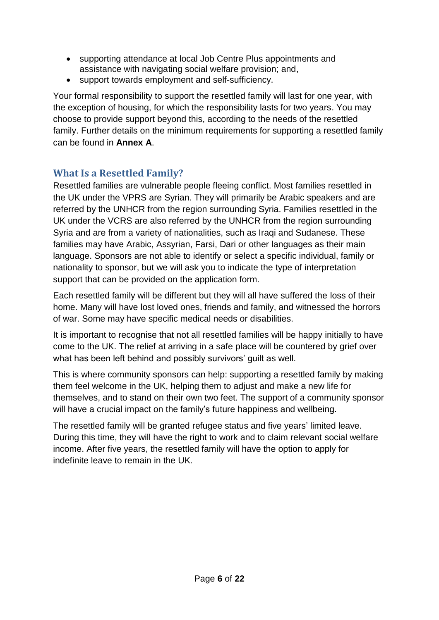- supporting attendance at local Job Centre Plus appointments and assistance with navigating social welfare provision; and,
- support towards employment and self-sufficiency.

Your formal responsibility to support the resettled family will last for one year, with the exception of housing, for which the responsibility lasts for two years. You may choose to provide support beyond this, according to the needs of the resettled family. Further details on the minimum requirements for supporting a resettled family can be found in **Annex A**.

# <span id="page-12-0"></span>**What Is a Resettled Family?**

Resettled families are vulnerable people fleeing conflict. Most families resettled in the UK under the VPRS are Syrian. They will primarily be Arabic speakers and are referred by the UNHCR from the region surrounding Syria. Families resettled in the UK under the VCRS are also referred by the UNHCR from the region surrounding Syria and are from a variety of nationalities, such as Iraqi and Sudanese. These families may have Arabic, Assyrian, Farsi, Dari or other languages as their main language. Sponsors are not able to identify or select a specific individual, family or nationality to sponsor, but we will ask you to indicate the type of interpretation support that can be provided on the application form.

Each resettled family will be different but they will all have suffered the loss of their home. Many will have lost loved ones, friends and family, and witnessed the horrors of war. Some may have specific medical needs or disabilities.

It is important to recognise that not all resettled families will be happy initially to have come to the UK. The relief at arriving in a safe place will be countered by grief over what has been left behind and possibly survivors' guilt as well.

This is where community sponsors can help: supporting a resettled family by making them feel welcome in the UK, helping them to adjust and make a new life for themselves, and to stand on their own two feet. The support of a community sponsor will have a crucial impact on the family's future happiness and wellbeing.

The resettled family will be granted refugee status and five years' limited leave. During this time, they will have the right to work and to claim relevant social welfare income. After five years, the resettled family will have the option to apply for indefinite leave to remain in the UK.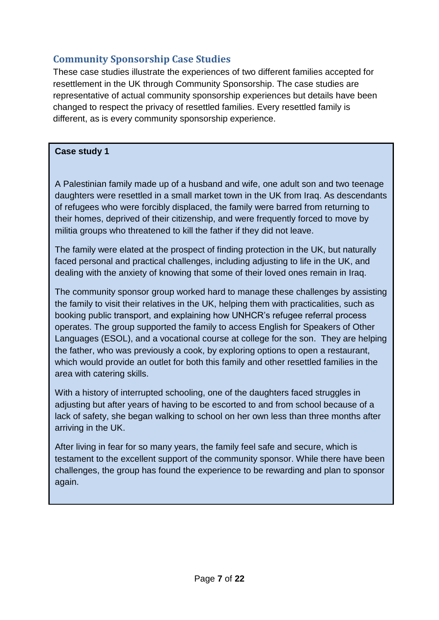# <span id="page-13-0"></span>**Community Sponsorship Case Studies**

These case studies illustrate the experiences of two different families accepted for resettlement in the UK through Community Sponsorship. The case studies are representative of actual community sponsorship experiences but details have been changed to respect the privacy of resettled families. Every resettled family is different, as is every community sponsorship experience.

#### **Case study 1**

A Palestinian family made up of a husband and wife, one adult son and two teenage daughters were resettled in a small market town in the UK from Iraq. As descendants of refugees who were forcibly displaced, the family were barred from returning to their homes, deprived of their citizenship, and were frequently forced to move by militia groups who threatened to kill the father if they did not leave.

The family were elated at the prospect of finding protection in the UK, but naturally faced personal and practical challenges, including adjusting to life in the UK, and dealing with the anxiety of knowing that some of their loved ones remain in Iraq.

The community sponsor group worked hard to manage these challenges by assisting the family to visit their relatives in the UK, helping them with practicalities, such as booking public transport, and explaining how UNHCR's refugee referral process operates. The group supported the family to access English for Speakers of Other Languages (ESOL), and a vocational course at college for the son. They are helping the father, who was previously a cook, by exploring options to open a restaurant, which would provide an outlet for both this family and other resettled families in the area with catering skills.

With a history of interrupted schooling, one of the daughters faced struggles in adjusting but after years of having to be escorted to and from school because of a lack of safety, she began walking to school on her own less than three months after arriving in the UK.

After living in fear for so many years, the family feel safe and secure, which is testament to the excellent support of the community sponsor. While there have been challenges, the group has found the experience to be rewarding and plan to sponsor again.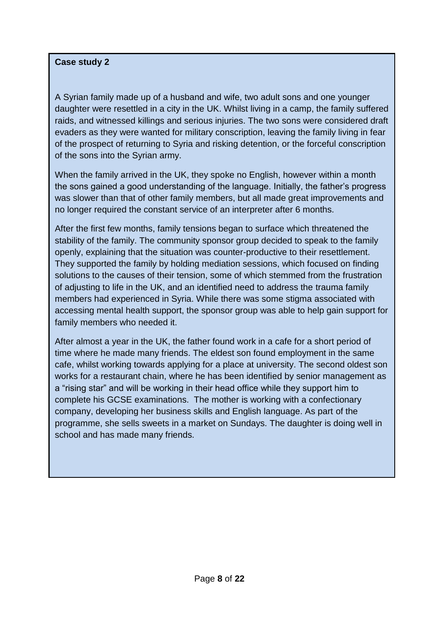#### **Case study 2**

A Syrian family made up of a husband and wife, two adult sons and one younger daughter were resettled in a city in the UK. Whilst living in a camp, the family suffered raids, and witnessed killings and serious injuries. The two sons were considered draft evaders as they were wanted for military conscription, leaving the family living in fear of the prospect of returning to Syria and risking detention, or the forceful conscription of the sons into the Syrian army.

When the family arrived in the UK, they spoke no English, however within a month the sons gained a good understanding of the language. Initially, the father's progress was slower than that of other family members, but all made great improvements and no longer required the constant service of an interpreter after 6 months.

After the first few months, family tensions began to surface which threatened the stability of the family. The community sponsor group decided to speak to the family openly, explaining that the situation was counter-productive to their resettlement. They supported the family by holding mediation sessions, which focused on finding solutions to the causes of their tension, some of which stemmed from the frustration of adjusting to life in the UK, and an identified need to address the trauma family members had experienced in Syria. While there was some stigma associated with accessing mental health support, the sponsor group was able to help gain support for family members who needed it.

After almost a year in the UK, the father found work in a cafe for a short period of time where he made many friends. The eldest son found employment in the same cafe, whilst working towards applying for a place at university. The second oldest son works for a restaurant chain, where he has been identified by senior management as a "rising star" and will be working in their head office while they support him to complete his GCSE examinations. The mother is working with a confectionary company, developing her business skills and English language. As part of the programme, she sells sweets in a market on Sundays. The daughter is doing well in school and has made many friends.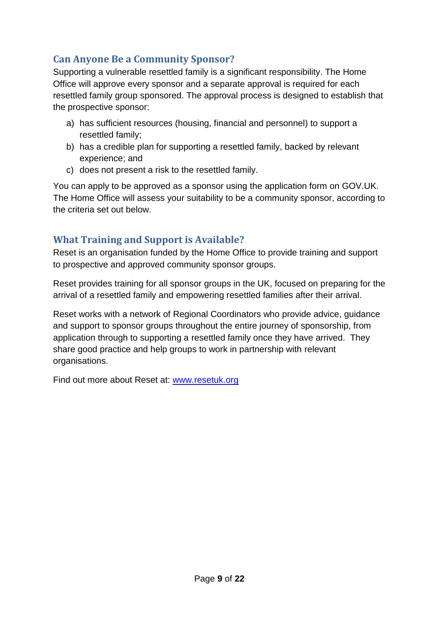# <span id="page-15-0"></span>**Can Anyone Be a Community Sponsor?**

Supporting a vulnerable resettled family is a significant responsibility. The Home Office will approve every sponsor and a separate approval is required for each resettled family group sponsored. The approval process is designed to establish that the prospective sponsor:

- a) has sufficient resources (housing, financial and personnel) to support a resettled family;
- b) has a credible plan for supporting a resettled family, backed by relevant experience; and
- c) does not present a risk to the resettled family.

You can apply to be approved as a sponsor using the application form on GOV.UK. The Home Office will assess your suitability to be a community sponsor, according to the criteria set out below.

# <span id="page-15-1"></span>**What Training and Support is Available?**

Reset is an organisation funded by the Home Office to provide training and support to prospective and approved community sponsor groups.

Reset provides training for all sponsor groups in the UK, focused on preparing for the arrival of a resettled family and empowering resettled families after their arrival.

Reset works with a network of Regional Coordinators who provide advice, guidance and support to sponsor groups throughout the entire journey of sponsorship, from application through to supporting a resettled family once they have arrived. They share good practice and help groups to work in partnership with relevant organisations.

Find out more about Reset at: [www.resetuk.org](http://www.resetuk.org/)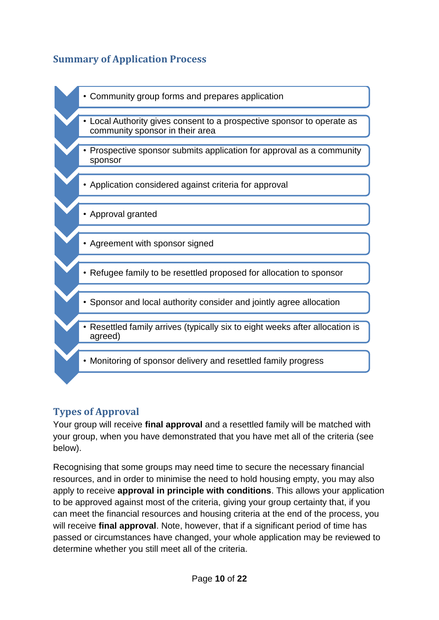# <span id="page-16-0"></span>**Summary of Application Process**



- Local Authority gives consent to a prospective sponsor to operate as community sponsor in their area
- Prospective sponsor submits application for approval as a community sponsor
- Application considered against criteria for approval
- Approval granted
- Agreement with sponsor signed
- Refugee family to be resettled proposed for allocation to sponsor
- Sponsor and local authority consider and jointly agree allocation
- Resettled family arrives (typically six to eight weeks after allocation is agreed)
- Monitoring of sponsor delivery and resettled family progress

## **Types of Approval**

Your group will receive **final approval** and a resettled family will be matched with your group, when you have demonstrated that you have met all of the criteria (see below).

Recognising that some groups may need time to secure the necessary financial resources, and in order to minimise the need to hold housing empty, you may also apply to receive **approval in principle with conditions**. This allows your application to be approved against most of the criteria, giving your group certainty that, if you can meet the financial resources and housing criteria at the end of the process, you will receive **final approval**. Note, however, that if a significant period of time has passed or circumstances have changed, your whole application may be reviewed to determine whether you still meet all of the criteria.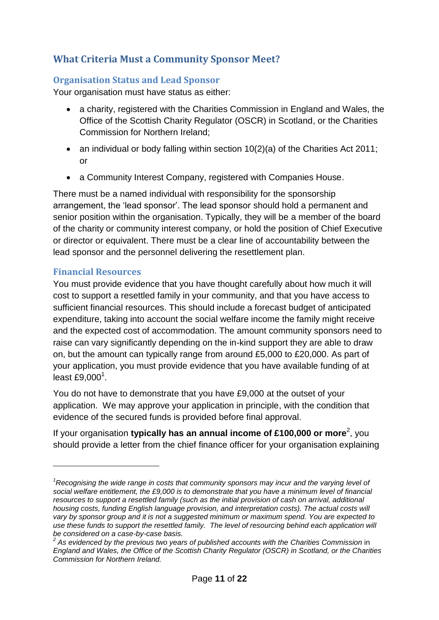# <span id="page-17-0"></span>**What Criteria Must a Community Sponsor Meet?**

#### <span id="page-17-1"></span>**Organisation Status and Lead Sponsor**

Your organisation must have status as either:

- a charity, registered with the Charities Commission in England and Wales, the Office of the Scottish Charity Regulator (OSCR) in Scotland, or the Charities Commission for Northern Ireland;
- an individual or body falling within section 10(2)(a) of the Charities Act 2011; or
- a Community Interest Company, registered with Companies House.

There must be a named individual with responsibility for the sponsorship arrangement, the 'lead sponsor'. The lead sponsor should hold a permanent and senior position within the organisation. Typically, they will be a member of the board of the charity or community interest company, or hold the position of Chief Executive or director or equivalent. There must be a clear line of accountability between the lead sponsor and the personnel delivering the resettlement plan.

#### <span id="page-17-2"></span>**Financial Resources**

1

You must provide evidence that you have thought carefully about how much it will cost to support a resettled family in your community, and that you have access to sufficient financial resources. This should include a forecast budget of anticipated expenditure, taking into account the social welfare income the family might receive and the expected cost of accommodation. The amount community sponsors need to raise can vary significantly depending on the in-kind support they are able to draw on, but the amount can typically range from around £5,000 to £20,000. As part of your application, you must provide evidence that you have available funding of at least  $£9,000<sup>1</sup>$ .

You do not have to demonstrate that you have £9,000 at the outset of your application. We may approve your application in principle, with the condition that evidence of the secured funds is provided before final approval.

If your organisation **typically has an annual income of £100,000 or more**<sup>2</sup>, you should provide a letter from the chief finance officer for your organisation explaining

*<sup>1</sup>Recognising the wide range in costs that community sponsors may incur and the varying level of social welfare entitlement, the £9,000 is to demonstrate that you have a minimum level of financial resources to support a resettled family (such as the initial provision of cash on arrival, additional housing costs, funding English language provision, and interpretation costs). The actual costs will vary by sponsor group and it is not a suggested minimum or maximum spend. You are expected to use these funds to support the resettled family. The level of resourcing behind each application will be considered on a case-by-case basis. 2*

*As evidenced by the previous two years of published accounts with the Charities Commission* in *England and Wales, the Office of the Scottish Charity Regulator (OSCR) in Scotland, or the Charities Commission for Northern Ireland.*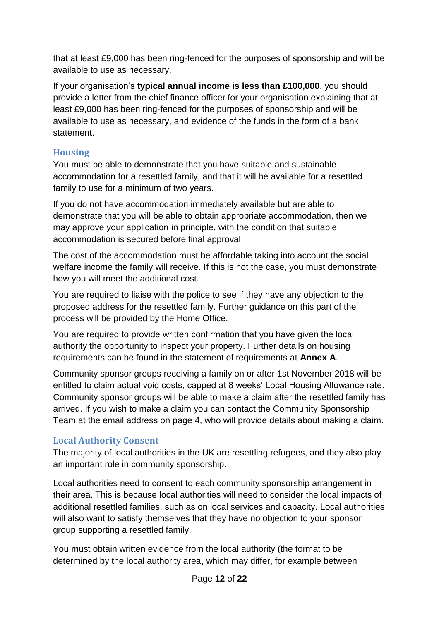that at least £9,000 has been ring-fenced for the purposes of sponsorship and will be available to use as necessary.

If your organisation's **typical annual income is less than £100,000**, you should provide a letter from the chief finance officer for your organisation explaining that at least £9,000 has been ring-fenced for the purposes of sponsorship and will be available to use as necessary, and evidence of the funds in the form of a bank statement.

## <span id="page-18-0"></span>**Housing**

You must be able to demonstrate that you have suitable and sustainable accommodation for a resettled family, and that it will be available for a resettled family to use for a minimum of two years.

If you do not have accommodation immediately available but are able to demonstrate that you will be able to obtain appropriate accommodation, then we may approve your application in principle, with the condition that suitable accommodation is secured before final approval.

The cost of the accommodation must be affordable taking into account the social welfare income the family will receive. If this is not the case, you must demonstrate how you will meet the additional cost.

You are required to liaise with the police to see if they have any objection to the proposed address for the resettled family. Further guidance on this part of the process will be provided by the Home Office.

You are required to provide written confirmation that you have given the local authority the opportunity to inspect your property. Further details on housing requirements can be found in the statement of requirements at **Annex A**.

Community sponsor groups receiving a family on or after 1st November 2018 will be entitled to claim actual void costs, capped at 8 weeks' Local Housing Allowance rate. Community sponsor groups will be able to make a claim after the resettled family has arrived. If you wish to make a claim you can contact the Community Sponsorship Team at the email address on page 4, who will provide details about making a claim.

## <span id="page-18-1"></span>**Local Authority Consent**

The majority of local authorities in the UK are resettling refugees, and they also play an important role in community sponsorship.

Local authorities need to consent to each community sponsorship arrangement in their area. This is because local authorities will need to consider the local impacts of additional resettled families, such as on local services and capacity. Local authorities will also want to satisfy themselves that they have no objection to your sponsor group supporting a resettled family.

You must obtain written evidence from the local authority (the format to be determined by the local authority area, which may differ, for example between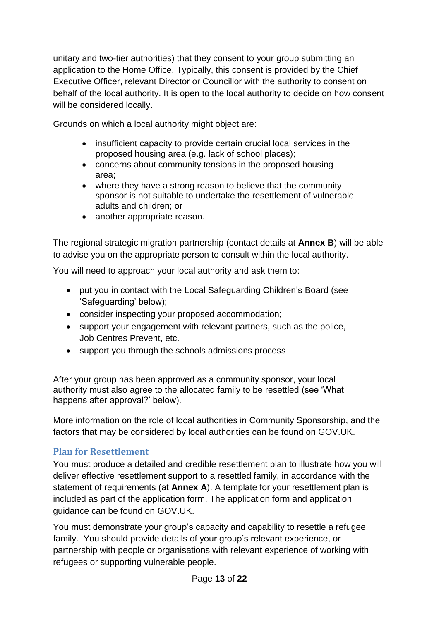unitary and two-tier authorities) that they consent to your group submitting an application to the Home Office. Typically, this consent is provided by the Chief Executive Officer, relevant Director or Councillor with the authority to consent on behalf of the local authority. It is open to the local authority to decide on how consent will be considered locally.

Grounds on which a local authority might object are:

- insufficient capacity to provide certain crucial local services in the proposed housing area (e.g. lack of school places);
- concerns about community tensions in the proposed housing area;
- where they have a strong reason to believe that the community sponsor is not suitable to undertake the resettlement of vulnerable adults and children; or
- another appropriate reason.

The regional strategic migration partnership (contact details at **Annex B**) will be able to advise you on the appropriate person to consult within the local authority.

You will need to approach your local authority and ask them to:

- put you in contact with the Local Safeguarding Children's Board (see 'Safeguarding' below);
- consider inspecting your proposed accommodation;
- support your engagement with relevant partners, such as the police, Job Centres Prevent, etc.
- support you through the schools admissions process

After your group has been approved as a community sponsor, your local authority must also agree to the allocated family to be resettled (see 'What happens after approval?' below).

More information on the role of local authorities in Community Sponsorship, and the factors that may be considered by local authorities can be found on GOV.UK.

## <span id="page-19-0"></span>**Plan for Resettlement**

You must produce a detailed and credible resettlement plan to illustrate how you will deliver effective resettlement support to a resettled family, in accordance with the statement of requirements (at **Annex A**). A template for your resettlement plan is included as part of the application form. The application form and application guidance can be found on GOV.UK.

You must demonstrate your group's capacity and capability to resettle a refugee family. You should provide details of your group's relevant experience, or partnership with people or organisations with relevant experience of working with refugees or supporting vulnerable people.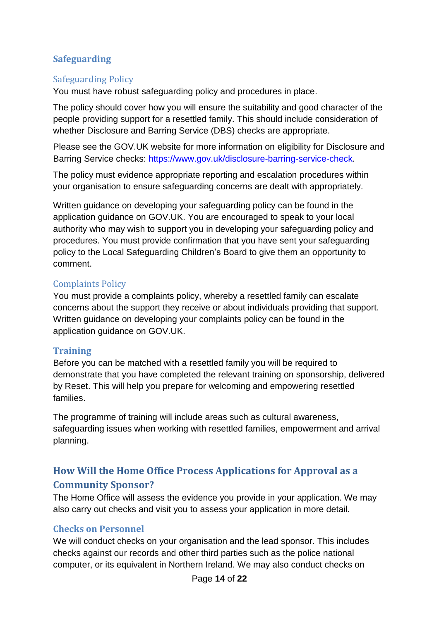## <span id="page-20-0"></span>**Safeguarding**

#### <span id="page-20-1"></span>Safeguarding Policy

You must have robust safeguarding policy and procedures in place.

The policy should cover how you will ensure the suitability and good character of the people providing support for a resettled family. This should include consideration of whether Disclosure and Barring Service (DBS) checks are appropriate.

Please see the GOV.UK website for more information on eligibility for Disclosure and Barring Service checks: [https://www.gov.uk/disclosure-barring-service-check.](https://www.gov.uk/disclosure-barring-service-check)

The policy must evidence appropriate reporting and escalation procedures within your organisation to ensure safeguarding concerns are dealt with appropriately.

Written guidance on developing your safeguarding policy can be found in the application guidance on GOV.UK. You are encouraged to speak to your local authority who may wish to support you in developing your safeguarding policy and procedures. You must provide confirmation that you have sent your safeguarding policy to the Local Safeguarding Children's Board to give them an opportunity to comment.

#### <span id="page-20-2"></span>Complaints Policy

You must provide a complaints policy, whereby a resettled family can escalate concerns about the support they receive or about individuals providing that support. Written guidance on developing your complaints policy can be found in the application guidance on GOV.UK.

#### <span id="page-20-3"></span>**Training**

Before you can be matched with a resettled family you will be required to demonstrate that you have completed the relevant training on sponsorship, delivered by Reset. This will help you prepare for welcoming and empowering resettled families.

The programme of training will include areas such as cultural awareness, safeguarding issues when working with resettled families, empowerment and arrival planning.

# <span id="page-20-4"></span>**How Will the Home Office Process Applications for Approval as a Community Sponsor?**

The Home Office will assess the evidence you provide in your application. We may also carry out checks and visit you to assess your application in more detail.

#### <span id="page-20-5"></span>**Checks on Personnel**

We will conduct checks on your organisation and the lead sponsor. This includes checks against our records and other third parties such as the police national computer, or its equivalent in Northern Ireland. We may also conduct checks on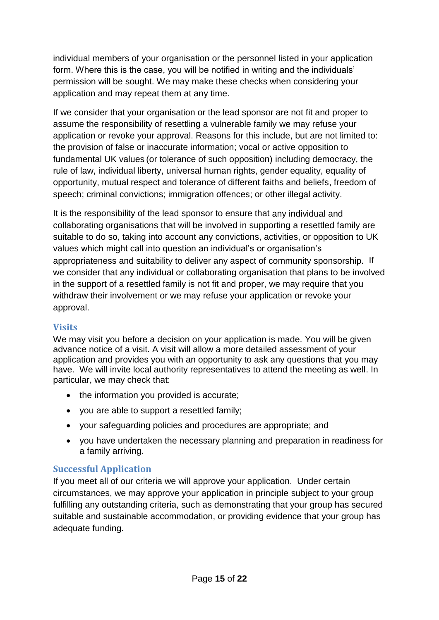individual members of your organisation or the personnel listed in your application form. Where this is the case, you will be notified in writing and the individuals' permission will be sought. We may make these checks when considering your application and may repeat them at any time.

If we consider that your organisation or the lead sponsor are not fit and proper to assume the responsibility of resettling a vulnerable family we may refuse your application or revoke your approval. Reasons for this include, but are not limited to: the provision of false or inaccurate information; vocal or active opposition to fundamental UK values (or tolerance of such opposition) including democracy, the rule of law, individual liberty, universal human rights, gender equality, equality of opportunity, mutual respect and tolerance of different faiths and beliefs, freedom of speech; criminal convictions; immigration offences; or other illegal activity.

It is the responsibility of the lead sponsor to ensure that any individual and collaborating organisations that will be involved in supporting a resettled family are suitable to do so, taking into account any convictions, activities, or opposition to UK values which might call into question an individual's or organisation's appropriateness and suitability to deliver any aspect of community sponsorship. If we consider that any individual or collaborating organisation that plans to be involved in the support of a resettled family is not fit and proper, we may require that you withdraw their involvement or we may refuse your application or revoke your approval.

## <span id="page-21-0"></span>**Visits**

We may visit you before a decision on your application is made. You will be given advance notice of a visit. A visit will allow a more detailed assessment of your application and provides you with an opportunity to ask any questions that you may have. We will invite local authority representatives to attend the meeting as well. In particular, we may check that:

- the information you provided is accurate;
- you are able to support a resettled family;
- your safeguarding policies and procedures are appropriate; and
- you have undertaken the necessary planning and preparation in readiness for a family arriving.

## <span id="page-21-1"></span>**Successful Application**

If you meet all of our criteria we will approve your application. Under certain circumstances, we may approve your application in principle subject to your group fulfilling any outstanding criteria, such as demonstrating that your group has secured suitable and sustainable accommodation, or providing evidence that your group has adequate funding.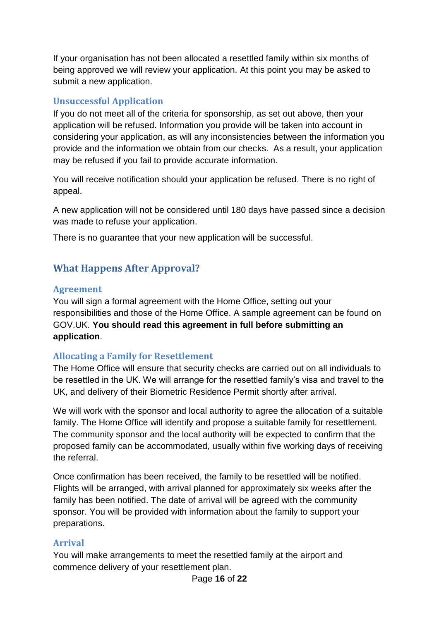If your organisation has not been allocated a resettled family within six months of being approved we will review your application. At this point you may be asked to submit a new application.

#### <span id="page-22-0"></span>**Unsuccessful Application**

If you do not meet all of the criteria for sponsorship, as set out above, then your application will be refused. Information you provide will be taken into account in considering your application, as will any inconsistencies between the information you provide and the information we obtain from our checks. As a result, your application may be refused if you fail to provide accurate information.

You will receive notification should your application be refused. There is no right of appeal.

A new application will not be considered until 180 days have passed since a decision was made to refuse your application.

There is no guarantee that your new application will be successful.

## <span id="page-22-1"></span>**What Happens After Approval?**

#### <span id="page-22-2"></span>**Agreement**

You will sign a formal agreement with the Home Office, setting out your responsibilities and those of the Home Office. A sample agreement can be found on GOV.UK. **You should read this agreement in full before submitting an application**.

#### <span id="page-22-3"></span>**Allocating a Family for Resettlement**

The Home Office will ensure that security checks are carried out on all individuals to be resettled in the UK. We will arrange for the resettled family's visa and travel to the UK, and delivery of their Biometric Residence Permit shortly after arrival.

We will work with the sponsor and local authority to agree the allocation of a suitable family. The Home Office will identify and propose a suitable family for resettlement. The community sponsor and the local authority will be expected to confirm that the proposed family can be accommodated, usually within five working days of receiving the referral.

Once confirmation has been received, the family to be resettled will be notified. Flights will be arranged, with arrival planned for approximately six weeks after the family has been notified. The date of arrival will be agreed with the community sponsor. You will be provided with information about the family to support your preparations.

#### <span id="page-22-4"></span>**Arrival**

You will make arrangements to meet the resettled family at the airport and commence delivery of your resettlement plan.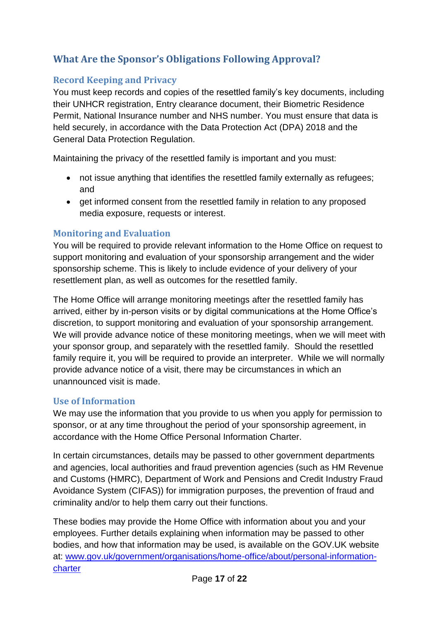# <span id="page-23-0"></span>**What Are the Sponsor's Obligations Following Approval?**

## <span id="page-23-1"></span>**Record Keeping and Privacy**

You must keep records and copies of the resettled family's key documents, including their UNHCR registration, Entry clearance document, their Biometric Residence Permit, National Insurance number and NHS number. You must ensure that data is held securely, in accordance with the Data Protection Act (DPA) 2018 and the General Data Protection Regulation.

Maintaining the privacy of the resettled family is important and you must:

- not issue anything that identifies the resettled family externally as refugees; and
- get informed consent from the resettled family in relation to any proposed media exposure, requests or interest.

#### <span id="page-23-2"></span>**Monitoring and Evaluation**

You will be required to provide relevant information to the Home Office on request to support monitoring and evaluation of your sponsorship arrangement and the wider sponsorship scheme. This is likely to include evidence of your delivery of your resettlement plan, as well as outcomes for the resettled family.

The Home Office will arrange monitoring meetings after the resettled family has arrived, either by in-person visits or by digital communications at the Home Office's discretion, to support monitoring and evaluation of your sponsorship arrangement. We will provide advance notice of these monitoring meetings, when we will meet with your sponsor group, and separately with the resettled family. Should the resettled family require it, you will be required to provide an interpreter. While we will normally provide advance notice of a visit, there may be circumstances in which an unannounced visit is made.

#### <span id="page-23-3"></span>**Use of Information**

We may use the information that you provide to us when you apply for permission to sponsor, or at any time throughout the period of your sponsorship agreement, in accordance with the Home Office Personal Information Charter.

In certain circumstances, details may be passed to other government departments and agencies, local authorities and fraud prevention agencies (such as HM Revenue and Customs (HMRC), Department of Work and Pensions and Credit Industry Fraud Avoidance System (CIFAS)) for immigration purposes, the prevention of fraud and criminality and/or to help them carry out their functions.

These bodies may provide the Home Office with information about you and your employees. Further details explaining when information may be passed to other bodies, and how that information may be used, is available on the GOV.UK website at: [www.gov.uk/government/organisations/home-office/about/personal-information](http://www.gov.uk/government/organisations/home-office/about/personal-information-charter)[charter](http://www.gov.uk/government/organisations/home-office/about/personal-information-charter)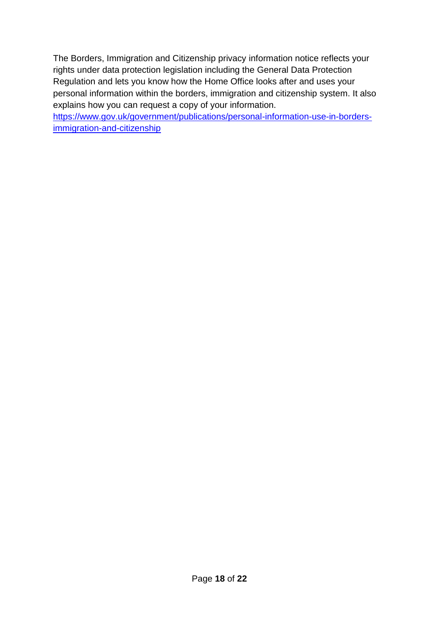The Borders, Immigration and Citizenship privacy information notice reflects your rights under data protection legislation including the General Data Protection Regulation and lets you know how the Home Office looks after and uses your personal information within the borders, immigration and citizenship system. It also explains how you can request a copy of your information.

[https://www.gov.uk/government/publications/personal-information-use-in-borders](https://www.gov.uk/government/publications/personal-information-use-in-borders-immigration-and-citizenship)[immigration-and-citizenship](https://www.gov.uk/government/publications/personal-information-use-in-borders-immigration-and-citizenship)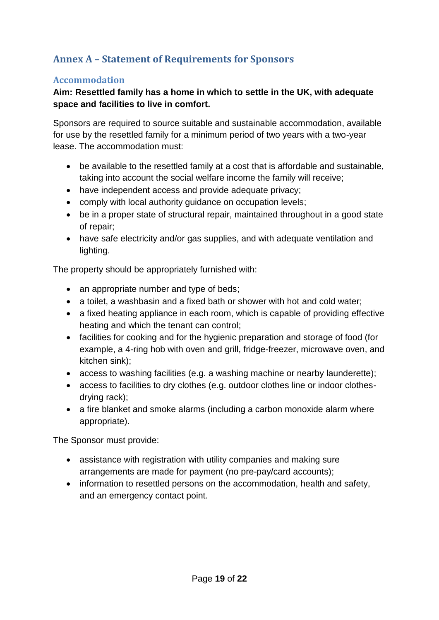# <span id="page-25-0"></span>**Annex A – Statement of Requirements for Sponsors**

#### <span id="page-25-1"></span>**Accommodation**

#### **Aim: Resettled family has a home in which to settle in the UK, with adequate space and facilities to live in comfort.**

Sponsors are required to source suitable and sustainable accommodation, available for use by the resettled family for a minimum period of two years with a two-year lease. The accommodation must:

- be available to the resettled family at a cost that is affordable and sustainable, taking into account the social welfare income the family will receive;
- have independent access and provide adequate privacy;
- comply with local authority guidance on occupation levels;
- be in a proper state of structural repair, maintained throughout in a good state of repair;
- have safe electricity and/or gas supplies, and with adequate ventilation and lighting.

The property should be appropriately furnished with:

- an appropriate number and type of beds;
- a toilet, a washbasin and a fixed bath or shower with hot and cold water;
- a fixed heating appliance in each room, which is capable of providing effective heating and which the tenant can control;
- facilities for cooking and for the hygienic preparation and storage of food (for example, a 4-ring hob with oven and grill, fridge-freezer, microwave oven, and kitchen sink);
- access to washing facilities (e.g. a washing machine or nearby launderette);
- access to facilities to dry clothes (e.g. outdoor clothes line or indoor clothesdrying rack);
- a fire blanket and smoke alarms (including a carbon monoxide alarm where appropriate).

The Sponsor must provide:

- assistance with registration with utility companies and making sure arrangements are made for payment (no pre-pay/card accounts);
- information to resettled persons on the accommodation, health and safety, and an emergency contact point.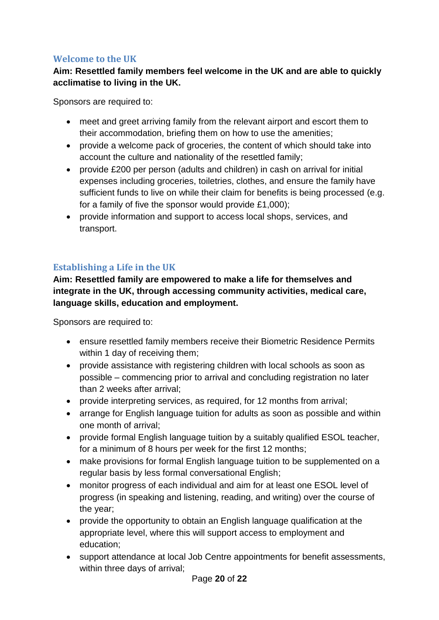#### <span id="page-26-0"></span>**Welcome to the UK**

## **Aim: Resettled family members feel welcome in the UK and are able to quickly acclimatise to living in the UK.**

Sponsors are required to:

- meet and greet arriving family from the relevant airport and escort them to their accommodation, briefing them on how to use the amenities;
- provide a welcome pack of groceries, the content of which should take into account the culture and nationality of the resettled family;
- provide £200 per person (adults and children) in cash on arrival for initial expenses including groceries, toiletries, clothes, and ensure the family have sufficient funds to live on while their claim for benefits is being processed (e.g. for a family of five the sponsor would provide £1,000);
- provide information and support to access local shops, services, and transport.

## <span id="page-26-1"></span>**Establishing a Life in the UK**

**Aim: Resettled family are empowered to make a life for themselves and integrate in the UK, through accessing community activities, medical care, language skills, education and employment.**

Sponsors are required to:

- ensure resettled family members receive their Biometric Residence Permits within 1 day of receiving them;
- provide assistance with registering children with local schools as soon as possible – commencing prior to arrival and concluding registration no later than 2 weeks after arrival;
- provide interpreting services, as required, for 12 months from arrival;
- arrange for English language tuition for adults as soon as possible and within one month of arrival;
- provide formal English language tuition by a suitably qualified ESOL teacher, for a minimum of 8 hours per week for the first 12 months;
- make provisions for formal English language tuition to be supplemented on a regular basis by less formal conversational English;
- monitor progress of each individual and aim for at least one ESOL level of progress (in speaking and listening, reading, and writing) over the course of the year;
- provide the opportunity to obtain an English language qualification at the appropriate level, where this will support access to employment and education;
- support attendance at local Job Centre appointments for benefit assessments, within three days of arrival;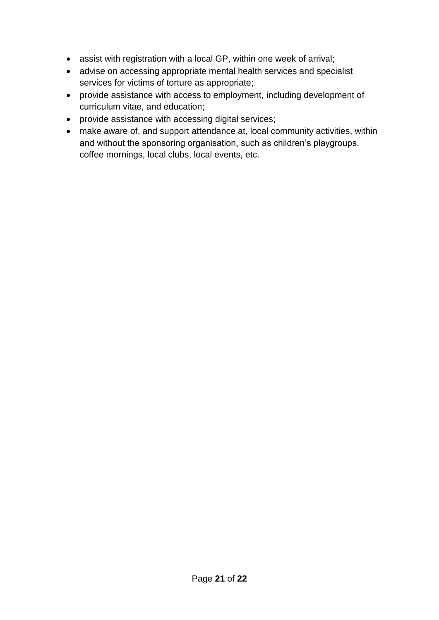- assist with registration with a local GP, within one week of arrival;
- advise on accessing appropriate mental health services and specialist services for victims of torture as appropriate;
- provide assistance with access to employment, including development of curriculum vitae, and education;
- provide assistance with accessing digital services;
- make aware of, and support attendance at, local community activities, within and without the sponsoring organisation, such as children's playgroups, coffee mornings, local clubs, local events, etc.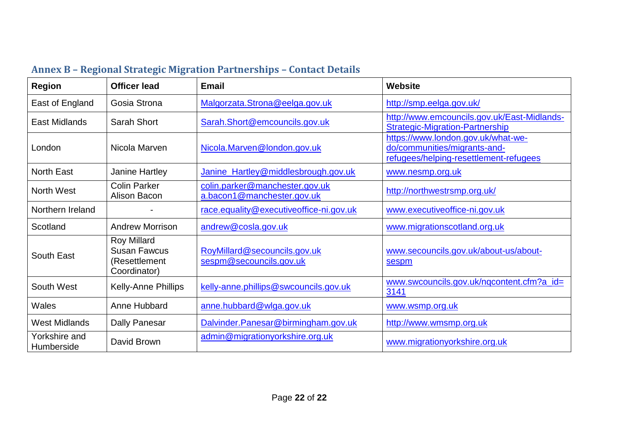<span id="page-28-0"></span>

| <b>Region</b>               | <b>Officer lead</b>                                                        | <b>Email</b>                                                 | <b>Website</b>                                                                                               |
|-----------------------------|----------------------------------------------------------------------------|--------------------------------------------------------------|--------------------------------------------------------------------------------------------------------------|
| East of England             | Gosia Strona                                                               | Malgorzata.Strona@eelga.gov.uk                               | http://smp.eelga.gov.uk/                                                                                     |
| East Midlands               | Sarah Short                                                                | Sarah.Short@emcouncils.gov.uk                                | http://www.emcouncils.gov.uk/East-Midlands-<br><b>Strategic-Migration-Partnership</b>                        |
| London                      | Nicola Marven                                                              | Nicola.Marven@london.gov.uk                                  | https://www.london.gov.uk/what-we-<br>do/communities/migrants-and-<br>refugees/helping-resettlement-refugees |
| <b>North East</b>           | Janine Hartley                                                             | Janine_Hartley@middlesbrough.gov.uk                          | www.nesmp.org.uk                                                                                             |
| North West                  | <b>Colin Parker</b><br>Alison Bacon                                        | colin.parker@manchester.gov.uk<br>a.bacon1@manchester.gov.uk | http://northwestrsmp.org.uk/                                                                                 |
| Northern Ireland            |                                                                            | race.equality@executiveoffice-ni.gov.uk                      | www.executiveoffice-ni.gov.uk                                                                                |
| Scotland                    | <b>Andrew Morrison</b>                                                     | andrew@cosla.gov.uk                                          | www.migrationscotland.org.uk                                                                                 |
| South East                  | <b>Roy Millard</b><br><b>Susan Fawcus</b><br>(Resettlement<br>Coordinator) | RoyMillard@secouncils.gov.uk<br>sespm@secouncils.gov.uk      | www.secouncils.gov.uk/about-us/about-<br>sespm                                                               |
| South West                  | Kelly-Anne Phillips                                                        | kelly-anne.phillips@swcouncils.gov.uk                        | www.swcouncils.gov.uk/ngcontent.cfm?a_id=<br>3141                                                            |
| Wales                       | Anne Hubbard                                                               | anne.hubbard@wlga.gov.uk                                     | www.wsmp.org.uk                                                                                              |
| <b>West Midlands</b>        | Dally Panesar                                                              | Dalvinder.Panesar@birmingham.gov.uk                          | http://www.wmsmp.org.uk                                                                                      |
| Yorkshire and<br>Humberside | David Brown                                                                | admin@migrationyorkshire.org.uk                              | www.migrationyorkshire.org.uk                                                                                |

# **Annex B – Regional Strategic Migration Partnerships – Contact Details**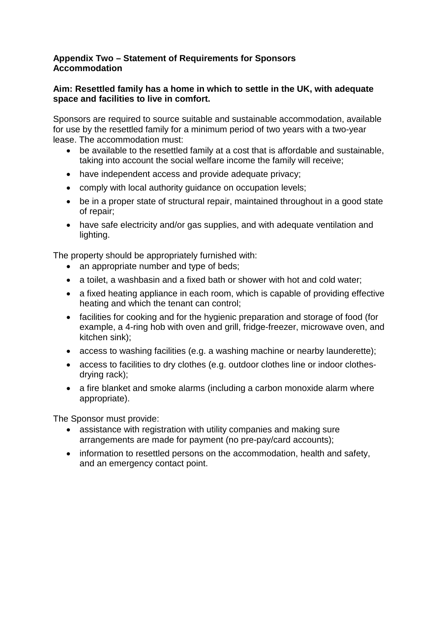#### **Appendix Two – Statement of Requirements for Sponsors Accommodation**

#### **Aim: Resettled family has a home in which to settle in the UK, with adequate space and facilities to live in comfort.**

Sponsors are required to source suitable and sustainable accommodation, available for use by the resettled family for a minimum period of two years with a two-year lease. The accommodation must:

- be available to the resettled family at a cost that is affordable and sustainable, taking into account the social welfare income the family will receive;
- have independent access and provide adequate privacy;
- comply with local authority guidance on occupation levels;
- be in a proper state of structural repair, maintained throughout in a good state of repair;
- have safe electricity and/or gas supplies, and with adequate ventilation and lighting.

The property should be appropriately furnished with:

- an appropriate number and type of beds;
- a toilet, a washbasin and a fixed bath or shower with hot and cold water:
- a fixed heating appliance in each room, which is capable of providing effective heating and which the tenant can control;
- facilities for cooking and for the hygienic preparation and storage of food (for example, a 4-ring hob with oven and grill, fridge-freezer, microwave oven, and kitchen sink);
- access to washing facilities (e.g. a washing machine or nearby launderette);
- access to facilities to dry clothes (e.g. outdoor clothes line or indoor clothesdrying rack);
- a fire blanket and smoke alarms (including a carbon monoxide alarm where appropriate).

The Sponsor must provide:

- assistance with registration with utility companies and making sure arrangements are made for payment (no pre-pay/card accounts);
- information to resettled persons on the accommodation, health and safety, and an emergency contact point.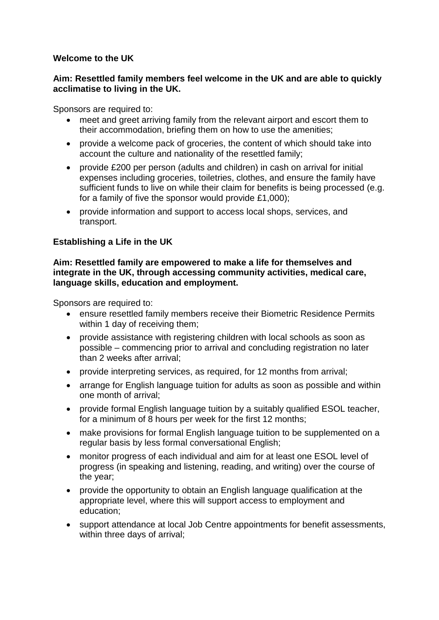#### **Welcome to the UK**

#### **Aim: Resettled family members feel welcome in the UK and are able to quickly acclimatise to living in the UK.**

Sponsors are required to:

- meet and greet arriving family from the relevant airport and escort them to their accommodation, briefing them on how to use the amenities;
- provide a welcome pack of groceries, the content of which should take into account the culture and nationality of the resettled family;
- provide £200 per person (adults and children) in cash on arrival for initial expenses including groceries, toiletries, clothes, and ensure the family have sufficient funds to live on while their claim for benefits is being processed (e.g. for a family of five the sponsor would provide £1,000);
- provide information and support to access local shops, services, and transport.

#### **Establishing a Life in the UK**

#### **Aim: Resettled family are empowered to make a life for themselves and integrate in the UK, through accessing community activities, medical care, language skills, education and employment.**

Sponsors are required to:

- ensure resettled family members receive their Biometric Residence Permits within 1 day of receiving them;
- provide assistance with registering children with local schools as soon as possible – commencing prior to arrival and concluding registration no later than 2 weeks after arrival;
- provide interpreting services, as required, for 12 months from arrival;
- arrange for English language tuition for adults as soon as possible and within one month of arrival;
- provide formal English language tuition by a suitably qualified ESOL teacher, for a minimum of 8 hours per week for the first 12 months;
- make provisions for formal English language tuition to be supplemented on a regular basis by less formal conversational English;
- monitor progress of each individual and aim for at least one ESOL level of progress (in speaking and listening, reading, and writing) over the course of the year;
- provide the opportunity to obtain an English language qualification at the appropriate level, where this will support access to employment and education;
- support attendance at local Job Centre appointments for benefit assessments, within three days of arrival;